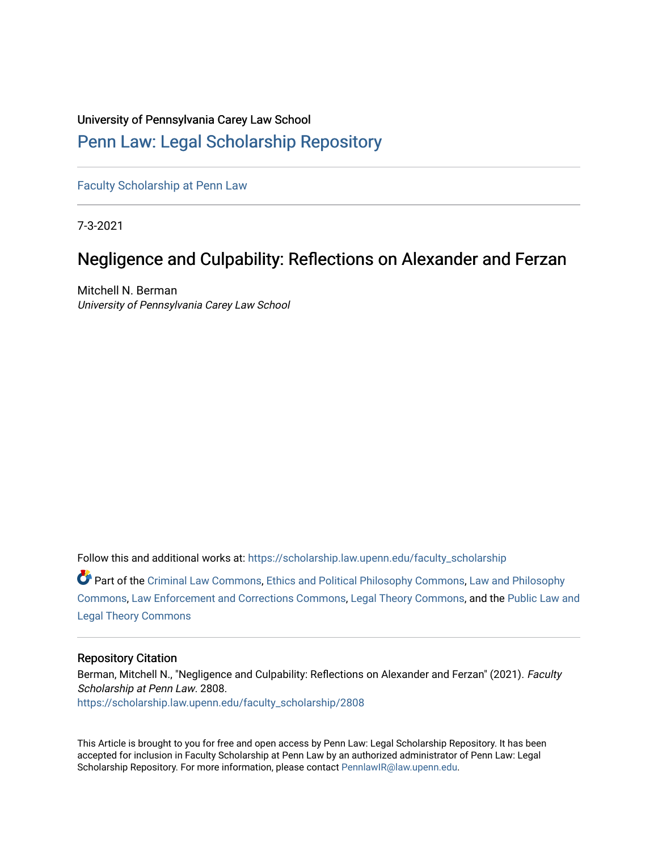## University of Pennsylvania Carey Law School

## [Penn Law: Legal Scholarship Repository](https://scholarship.law.upenn.edu/)

[Faculty Scholarship at Penn Law](https://scholarship.law.upenn.edu/faculty_scholarship)

7-3-2021

# Negligence and Culpability: Reflections on Alexander and Ferzan

Mitchell N. Berman University of Pennsylvania Carey Law School

Follow this and additional works at: [https://scholarship.law.upenn.edu/faculty\\_scholarship](https://scholarship.law.upenn.edu/faculty_scholarship?utm_source=scholarship.law.upenn.edu%2Ffaculty_scholarship%2F2808&utm_medium=PDF&utm_campaign=PDFCoverPages) 

Part of the [Criminal Law Commons,](http://network.bepress.com/hgg/discipline/912?utm_source=scholarship.law.upenn.edu%2Ffaculty_scholarship%2F2808&utm_medium=PDF&utm_campaign=PDFCoverPages) [Ethics and Political Philosophy Commons,](http://network.bepress.com/hgg/discipline/529?utm_source=scholarship.law.upenn.edu%2Ffaculty_scholarship%2F2808&utm_medium=PDF&utm_campaign=PDFCoverPages) [Law and Philosophy](http://network.bepress.com/hgg/discipline/1299?utm_source=scholarship.law.upenn.edu%2Ffaculty_scholarship%2F2808&utm_medium=PDF&utm_campaign=PDFCoverPages)  [Commons](http://network.bepress.com/hgg/discipline/1299?utm_source=scholarship.law.upenn.edu%2Ffaculty_scholarship%2F2808&utm_medium=PDF&utm_campaign=PDFCoverPages), [Law Enforcement and Corrections Commons](http://network.bepress.com/hgg/discipline/854?utm_source=scholarship.law.upenn.edu%2Ffaculty_scholarship%2F2808&utm_medium=PDF&utm_campaign=PDFCoverPages), [Legal Theory Commons](http://network.bepress.com/hgg/discipline/369?utm_source=scholarship.law.upenn.edu%2Ffaculty_scholarship%2F2808&utm_medium=PDF&utm_campaign=PDFCoverPages), and the [Public Law and](http://network.bepress.com/hgg/discipline/871?utm_source=scholarship.law.upenn.edu%2Ffaculty_scholarship%2F2808&utm_medium=PDF&utm_campaign=PDFCoverPages)  [Legal Theory Commons](http://network.bepress.com/hgg/discipline/871?utm_source=scholarship.law.upenn.edu%2Ffaculty_scholarship%2F2808&utm_medium=PDF&utm_campaign=PDFCoverPages) 

#### Repository Citation

Berman, Mitchell N., "Negligence and Culpability: Reflections on Alexander and Ferzan" (2021). Faculty Scholarship at Penn Law. 2808. [https://scholarship.law.upenn.edu/faculty\\_scholarship/2808](https://scholarship.law.upenn.edu/faculty_scholarship/2808?utm_source=scholarship.law.upenn.edu%2Ffaculty_scholarship%2F2808&utm_medium=PDF&utm_campaign=PDFCoverPages)

This Article is brought to you for free and open access by Penn Law: Legal Scholarship Repository. It has been accepted for inclusion in Faculty Scholarship at Penn Law by an authorized administrator of Penn Law: Legal Scholarship Repository. For more information, please contact [PennlawIR@law.upenn.edu.](mailto:PennlawIR@law.upenn.edu)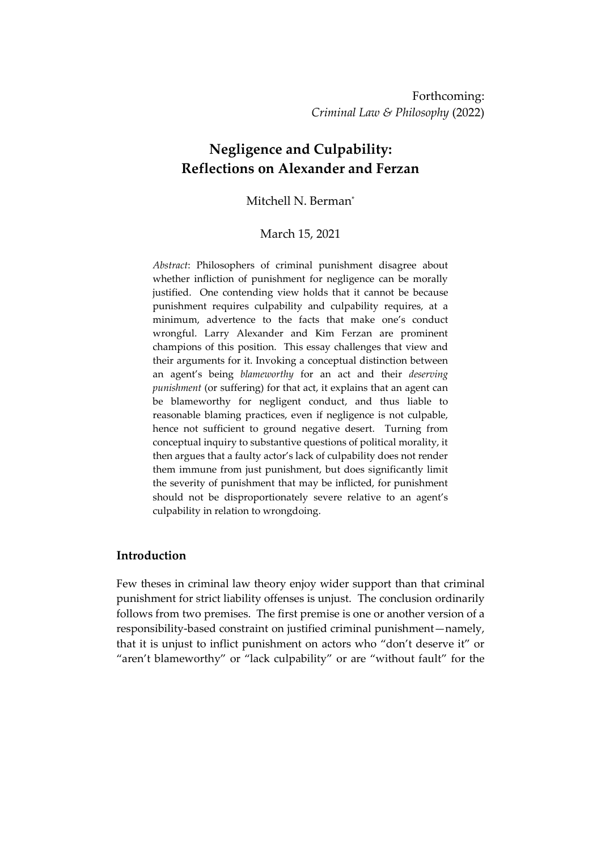## **Negligence and Culpability: Reflections on Alexander and Ferzan**

## Mitchell N. Berman\*

#### March 15, 2021

*Abstract*: Philosophers of criminal punishment disagree about whether infliction of punishment for negligence can be morally justified. One contending view holds that it cannot be because punishment requires culpability and culpability requires, at a minimum, advertence to the facts that make one's conduct wrongful. Larry Alexander and Kim Ferzan are prominent champions of this position. This essay challenges that view and their arguments for it. Invoking a conceptual distinction between an agent's being *blameworthy* for an act and their *deserving punishment* (or suffering) for that act, it explains that an agent can be blameworthy for negligent conduct, and thus liable to reasonable blaming practices, even if negligence is not culpable, hence not sufficient to ground negative desert. Turning from conceptual inquiry to substantive questions of political morality, it then argues that a faulty actor's lack of culpability does not render them immune from just punishment, but does significantly limit the severity of punishment that may be inflicted, for punishment should not be disproportionately severe relative to an agent's culpability in relation to wrongdoing.

#### **Introduction**

Few theses in criminal law theory enjoy wider support than that criminal punishment for strict liability offenses is unjust. The conclusion ordinarily follows from two premises. The first premise is one or another version of a responsibility-based constraint on justified criminal punishment—namely, that it is unjust to inflict punishment on actors who "don't deserve it" or "aren't blameworthy" or "lack culpability" or are "without fault" for the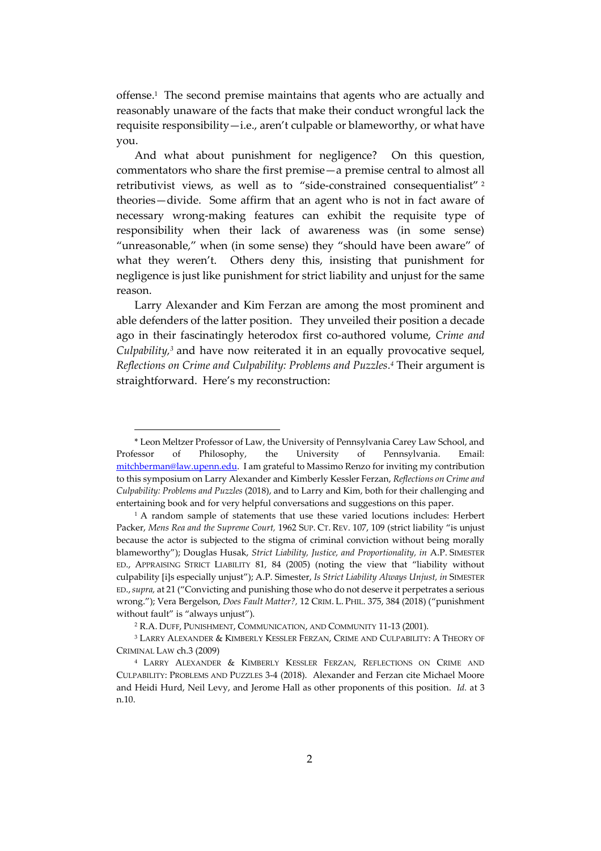offense. 1 The second premise maintains that agents who are actually and reasonably unaware of the facts that make their conduct wrongful lack the requisite responsibility—i.e., aren't culpable or blameworthy, or what have you.

And what about punishment for negligence? On this question, commentators who share the first premise—a premise central to almost all retributivist views, as well as to "side-constrained consequentialist" 2 theories—divide. Some affirm that an agent who is not in fact aware of necessary wrong-making features can exhibit the requisite type of responsibility when their lack of awareness was (in some sense) "unreasonable," when (in some sense) they "should have been aware" of what they weren't. Others deny this, insisting that punishment for negligence is just like punishment for strict liability and unjust for the same reason.

Larry Alexander and Kim Ferzan are among the most prominent and able defenders of the latter position. They unveiled their position a decade ago in their fascinatingly heterodox first co-authored volume, *Crime and Culpability,<sup>3</sup>* and have now reiterated it in an equally provocative sequel, *Reflections on Crime and Culpability: Problems and Puzzles. <sup>4</sup>* Their argument is straightforward. Here's my reconstruction:

<sup>\*</sup> Leon Meltzer Professor of Law, the University of Pennsylvania Carey Law School, and Professor of Philosophy, the University of Pennsylvania. Email: [mitchberman@law.upenn.edu.](mailto:mitchberman@law.upenn.edu) I am grateful to Massimo Renzo for inviting my contribution to this symposium on Larry Alexander and Kimberly Kessler Ferzan, *Reflections on Crime and Culpability: Problems and Puzzles* (2018), and to Larry and Kim, both for their challenging and entertaining book and for very helpful conversations and suggestions on this paper.

<sup>&</sup>lt;sup>1</sup> A random sample of statements that use these varied locutions includes: Herbert Packer, *Mens Rea and the Supreme Court,* 1962 SUP. CT. REV. 107, 109 (strict liability "is unjust because the actor is subjected to the stigma of criminal conviction without being morally blameworthy"); Douglas Husak, *Strict Liability, Justice, and Proportionality, in* A.P. SIMESTER ED., APPRAISING STRICT LIABILITY 81, 84 (2005) (noting the view that "liability without culpability [i]s especially unjust"); A.P. Simester, *Is Strict Liability Always Unjust, in* SIMESTER ED.,*supra,* at 21 ("Convicting and punishing those who do not deserve it perpetrates a serious wrong."); Vera Bergelson, *Does Fault Matter?,* 12 CRIM. L. PHIL. 375, 384 (2018) ("punishment without fault" is "always unjust").

<sup>2</sup> R.A. DUFF, PUNISHMENT, COMMUNICATION, AND COMMUNITY 11-13 (2001).

<sup>3</sup> LARRY ALEXANDER & KIMBERLY KESSLER FERZAN, CRIME AND CULPABILITY: A THEORY OF CRIMINAL LAW ch.3 (2009)

<sup>4</sup> LARRY ALEXANDER & KIMBERLY KESSLER FERZAN, REFLECTIONS ON CRIME AND CULPABILITY: PROBLEMS AND PUZZLES 3-4 (2018). Alexander and Ferzan cite Michael Moore and Heidi Hurd, Neil Levy, and Jerome Hall as other proponents of this position. *Id.* at 3 n.10.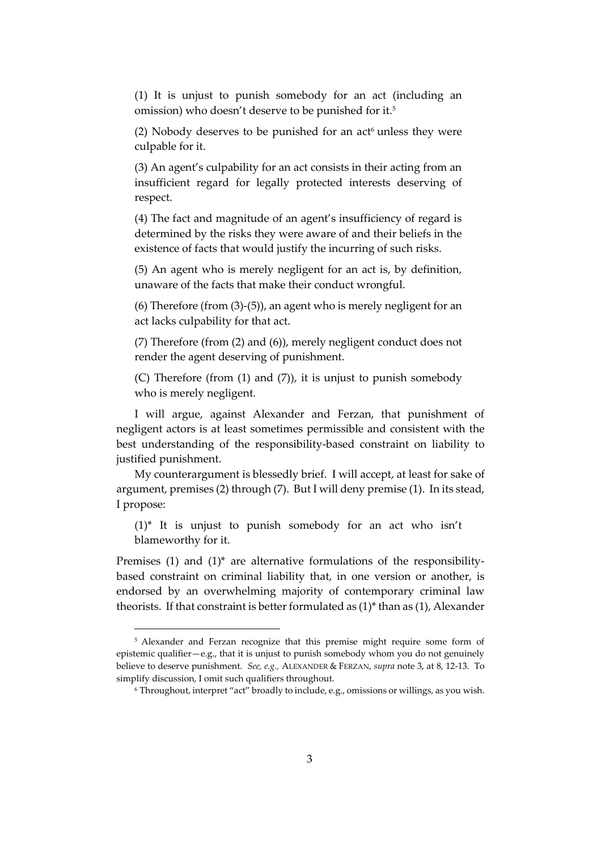(1) It is unjust to punish somebody for an act (including an omission) who doesn't deserve to be punished for it. 5

(2) Nobody deserves to be punished for an  $act<sup>6</sup>$  unless they were culpable for it.

(3) An agent's culpability for an act consists in their acting from an insufficient regard for legally protected interests deserving of respect.

(4) The fact and magnitude of an agent's insufficiency of regard is determined by the risks they were aware of and their beliefs in the existence of facts that would justify the incurring of such risks.

(5) An agent who is merely negligent for an act is, by definition, unaware of the facts that make their conduct wrongful.

(6) Therefore (from (3)-(5)), an agent who is merely negligent for an act lacks culpability for that act.

(7) Therefore (from (2) and (6)), merely negligent conduct does not render the agent deserving of punishment.

(C) Therefore (from (1) and (7)), it is unjust to punish somebody who is merely negligent.

I will argue, against Alexander and Ferzan, that punishment of negligent actors is at least sometimes permissible and consistent with the best understanding of the responsibility-based constraint on liability to justified punishment.

My counterargument is blessedly brief. I will accept, at least for sake of argument, premises (2) through (7). But I will deny premise (1). In its stead, I propose:

(1)\* It is unjust to punish somebody for an act who isn't blameworthy for it.

Premises (1) and (1)\* are alternative formulations of the responsibilitybased constraint on criminal liability that, in one version or another, is endorsed by an overwhelming majority of contemporary criminal law theorists. If that constraint is better formulated as (1)\* than as (1), Alexander

<sup>5</sup> Alexander and Ferzan recognize that this premise might require some form of epistemic qualifier—e.g., that it is unjust to punish somebody whom you do not genuinely believe to deserve punishment. *See, e.g.,* ALEXANDER & FERZAN, *supra* note 3, at 8, 12-13. To simplify discussion, I omit such qualifiers throughout.

<sup>6</sup> Throughout, interpret "act" broadly to include, e.g., omissions or willings, as you wish.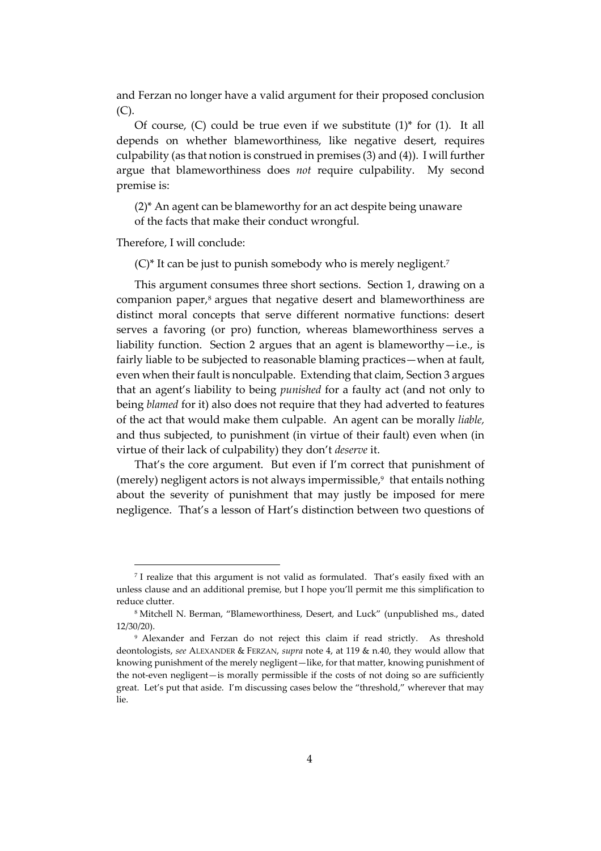and Ferzan no longer have a valid argument for their proposed conclusion (C).

Of course,  $(C)$  could be true even if we substitute  $(1)^*$  for  $(1)$ . It all depends on whether blameworthiness, like negative desert, requires culpability (as that notion is construed in premises (3) and (4)). I will further argue that blameworthiness does *not* require culpability. My second premise is:

(2)\* An agent can be blameworthy for an act despite being unaware of the facts that make their conduct wrongful.

Therefore, I will conclude:

 $(C)^*$  It can be just to punish somebody who is merely negligent.<sup>7</sup>

This argument consumes three short sections. Section 1, drawing on a companion paper, <sup>8</sup> argues that negative desert and blameworthiness are distinct moral concepts that serve different normative functions: desert serves a favoring (or pro) function, whereas blameworthiness serves a liability function. Section 2 argues that an agent is blameworthy—i.e., is fairly liable to be subjected to reasonable blaming practices—when at fault, even when their fault is nonculpable. Extending that claim, Section 3 argues that an agent's liability to being *punished* for a faulty act (and not only to being *blamed* for it) also does not require that they had adverted to features of the act that would make them culpable. An agent can be morally *liable,* and thus subjected, to punishment (in virtue of their fault) even when (in virtue of their lack of culpability) they don't *deserve* it.

That's the core argument. But even if I'm correct that punishment of (merely) negligent actors is not always impermissible, $9\,$  that entails nothing about the severity of punishment that may justly be imposed for mere negligence. That's a lesson of Hart's distinction between two questions of

<sup>7</sup> I realize that this argument is not valid as formulated. That's easily fixed with an unless clause and an additional premise, but I hope you'll permit me this simplification to reduce clutter.

<sup>8</sup> Mitchell N. Berman, "Blameworthiness, Desert, and Luck" (unpublished ms., dated 12/30/20).

<sup>9</sup> Alexander and Ferzan do not reject this claim if read strictly. As threshold deontologists, *see* ALEXANDER & FERZAN, *supra* note 4, at 119 & n.40, they would allow that knowing punishment of the merely negligent—like, for that matter, knowing punishment of the not-even negligent—is morally permissible if the costs of not doing so are sufficiently great. Let's put that aside. I'm discussing cases below the "threshold," wherever that may lie.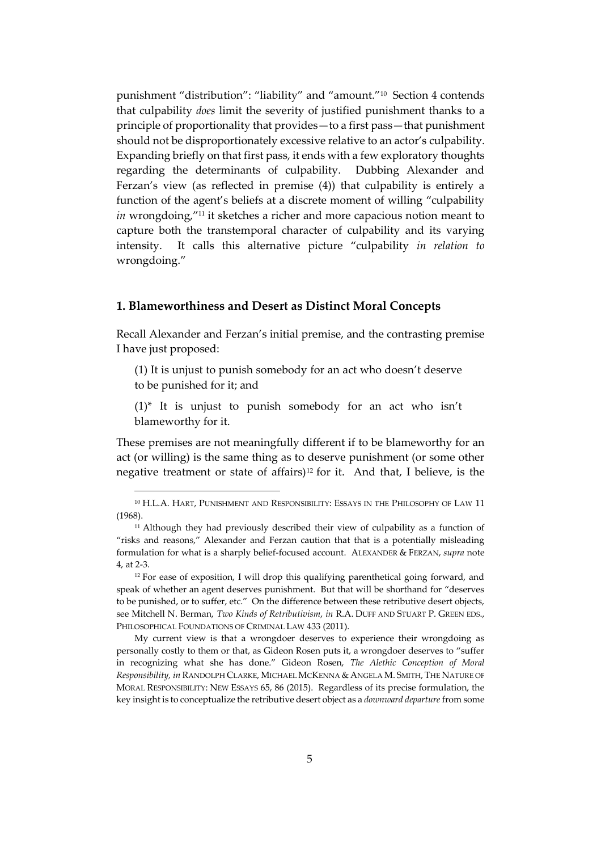punishment "distribution": "liability" and "amount."<sup>10</sup> Section 4 contends that culpability *does* limit the severity of justified punishment thanks to a principle of proportionality that provides—to a first pass—that punishment should not be disproportionately excessive relative to an actor's culpability. Expanding briefly on that first pass, it ends with a few exploratory thoughts regarding the determinants of culpability. Dubbing Alexander and Ferzan's view (as reflected in premise (4)) that culpability is entirely a function of the agent's beliefs at a discrete moment of willing "culpability *in* wrongdoing,"<sup>11</sup> it sketches a richer and more capacious notion meant to capture both the transtemporal character of culpability and its varying intensity. It calls this alternative picture "culpability *in relation to*  wrongdoing."

#### **1. Blameworthiness and Desert as Distinct Moral Concepts**

Recall Alexander and Ferzan's initial premise, and the contrasting premise I have just proposed:

- (1) It is unjust to punish somebody for an act who doesn't deserve to be punished for it; and
- (1)\* It is unjust to punish somebody for an act who isn't blameworthy for it.

These premises are not meaningfully different if to be blameworthy for an act (or willing) is the same thing as to deserve punishment (or some other negative treatment or state of affairs)<sup>12</sup> for it. And that, I believe, is the

<sup>10</sup> H.L.A. HART, PUNISHMENT AND RESPONSIBILITY: ESSAYS IN THE PHILOSOPHY OF LAW 11 (1968).

<sup>&</sup>lt;sup>11</sup> Although they had previously described their view of culpability as a function of "risks and reasons," Alexander and Ferzan caution that that is a potentially misleading formulation for what is a sharply belief-focused account. ALEXANDER & FERZAN, *supra* note 4, at 2-3.

<sup>&</sup>lt;sup>12</sup> For ease of exposition, I will drop this qualifying parenthetical going forward, and speak of whether an agent deserves punishment. But that will be shorthand for "deserves to be punished, or to suffer, etc." On the difference between these retributive desert objects, see Mitchell N. Berman, *Two Kinds of Retributivism*, *in* R.A. DUFF AND STUART P. GREEN EDS., PHILOSOPHICAL FOUNDATIONS OF CRIMINAL LAW 433 (2011).

My current view is that a wrongdoer deserves to experience their wrongdoing as personally costly to them or that, as Gideon Rosen puts it, a wrongdoer deserves to "suffer in recognizing what she has done." Gideon Rosen, *The Alethic Conception of Moral Responsibility, in* RANDOLPH CLARKE, MICHAEL MCKENNA & ANGELA M. SMITH, THE NATURE OF MORAL RESPONSIBILITY: NEW ESSAYS 65, 86 (2015). Regardless of its precise formulation, the key insight is to conceptualize the retributive desert object as a *downward departure* from some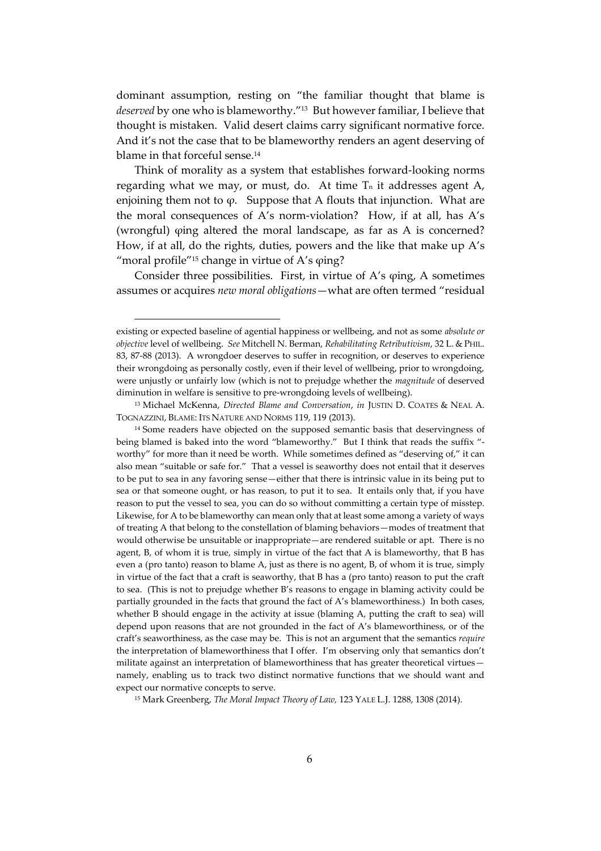dominant assumption, resting on "the familiar thought that blame is *deserved* by one who is blameworthy." <sup>13</sup> But however familiar, I believe that thought is mistaken. Valid desert claims carry significant normative force. And it's not the case that to be blameworthy renders an agent deserving of blame in that forceful sense.<sup>14</sup>

Think of morality as a system that establishes forward-looking norms regarding what we may, or must, do. At time  $T_n$  it addresses agent A, enjoining them not to  $\varphi$ . Suppose that A flouts that injunction. What are the moral consequences of A's norm-violation? How, if at all, has A's (wrongful) φing altered the moral landscape, as far as A is concerned? How, if at all, do the rights, duties, powers and the like that make up A's "moral profile"<sup>15</sup> change in virtue of A's  $\varphi$ ing?

Consider three possibilities. First, in virtue of A's φing, A sometimes assumes or acquires *new moral obligations*—what are often termed "residual

<sup>15</sup> Mark Greenberg, *The Moral Impact Theory of Law,* 123 YALE L.J. 1288, 1308 (2014).

existing or expected baseline of agential happiness or wellbeing, and not as some *absolute or objective* level of wellbeing. *See* Mitchell N. Berman, *Rehabilitating Retributivism*, 32 L. & PHIL. 83, 87-88 (2013). A wrongdoer deserves to suffer in recognition, or deserves to experience their wrongdoing as personally costly, even if their level of wellbeing, prior to wrongdoing, were unjustly or unfairly low (which is not to prejudge whether the *magnitude* of deserved diminution in welfare is sensitive to pre-wrongdoing levels of wellbeing).

<sup>13</sup> Michael McKenna, *Directed Blame and Conversation*, *in* JUSTIN D. COATES & NEAL A. TOGNAZZINI, BLAME: ITS NATURE AND NORMS 119, 119 (2013).

<sup>&</sup>lt;sup>14</sup> Some readers have objected on the supposed semantic basis that deservingness of being blamed is baked into the word "blameworthy." But I think that reads the suffix " worthy" for more than it need be worth. While sometimes defined as "deserving of," it can also mean "suitable or safe for." That a vessel is seaworthy does not entail that it deserves to be put to sea in any favoring sense—either that there is intrinsic value in its being put to sea or that someone ought, or has reason, to put it to sea. It entails only that, if you have reason to put the vessel to sea, you can do so without committing a certain type of misstep. Likewise, for A to be blameworthy can mean only that at least some among a variety of ways of treating A that belong to the constellation of blaming behaviors—modes of treatment that would otherwise be unsuitable or inappropriate—are rendered suitable or apt. There is no agent, B, of whom it is true, simply in virtue of the fact that A is blameworthy, that B has even a (pro tanto) reason to blame A, just as there is no agent, B, of whom it is true, simply in virtue of the fact that a craft is seaworthy, that B has a (pro tanto) reason to put the craft to sea. (This is not to prejudge whether B's reasons to engage in blaming activity could be partially grounded in the facts that ground the fact of A's blameworthiness.) In both cases, whether B should engage in the activity at issue (blaming A, putting the craft to sea) will depend upon reasons that are not grounded in the fact of A's blameworthiness, or of the craft's seaworthiness, as the case may be. This is not an argument that the semantics *require* the interpretation of blameworthiness that I offer. I'm observing only that semantics don't militate against an interpretation of blameworthiness that has greater theoretical virtues namely, enabling us to track two distinct normative functions that we should want and expect our normative concepts to serve.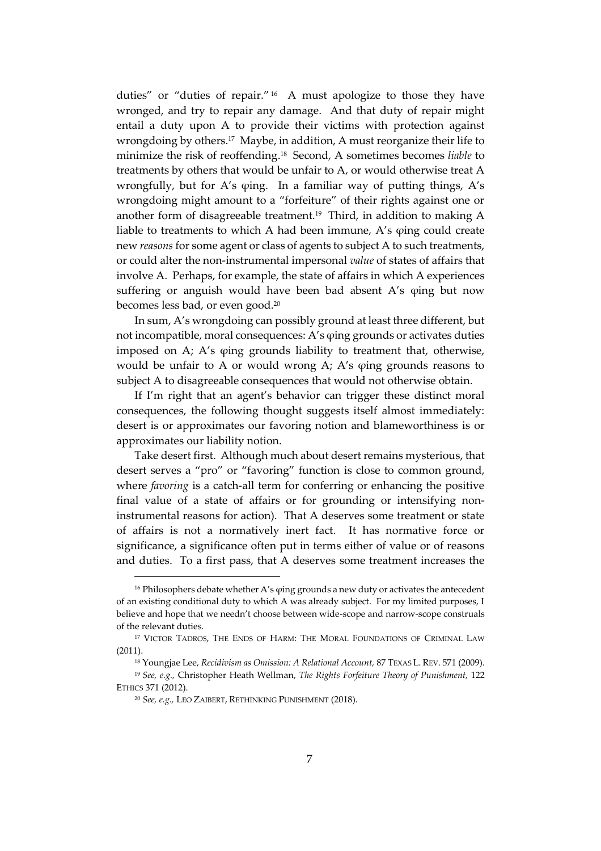duties" or "duties of repair." <sup>16</sup> A must apologize to those they have wronged, and try to repair any damage. And that duty of repair might entail a duty upon A to provide their victims with protection against wrongdoing by others.<sup>17</sup> Maybe, in addition, A must reorganize their life to minimize the risk of reoffending. <sup>18</sup> Second, A sometimes becomes *liable* to treatments by others that would be unfair to A, or would otherwise treat A wrongfully, but for A's φing. In a familiar way of putting things, A's wrongdoing might amount to a "forfeiture" of their rights against one or another form of disagreeable treatment.<sup>19</sup> Third, in addition to making A liable to treatments to which A had been immune, A's φing could create new *reasons* for some agent or class of agents to subject A to such treatments, or could alter the non-instrumental impersonal *value* of states of affairs that involve A. Perhaps, for example, the state of affairs in which A experiences suffering or anguish would have been bad absent A's φing but now becomes less bad, or even good.<sup>20</sup>

In sum, A's wrongdoing can possibly ground at least three different, but not incompatible, moral consequences: A's φing grounds or activates duties imposed on A; A's φing grounds liability to treatment that, otherwise, would be unfair to A or would wrong A; A's φing grounds reasons to subject A to disagreeable consequences that would not otherwise obtain.

If I'm right that an agent's behavior can trigger these distinct moral consequences, the following thought suggests itself almost immediately: desert is or approximates our favoring notion and blameworthiness is or approximates our liability notion.

Take desert first. Although much about desert remains mysterious, that desert serves a "pro" or "favoring" function is close to common ground, where *favoring* is a catch-all term for conferring or enhancing the positive final value of a state of affairs or for grounding or intensifying noninstrumental reasons for action). That A deserves some treatment or state of affairs is not a normatively inert fact. It has normative force or significance, a significance often put in terms either of value or of reasons and duties. To a first pass, that A deserves some treatment increases the

<sup>&</sup>lt;sup>16</sup> Philosophers debate whether A's φing grounds a new duty or activates the antecedent of an existing conditional duty to which A was already subject. For my limited purposes, I believe and hope that we needn't choose between wide-scope and narrow-scope construals of the relevant duties.

<sup>&</sup>lt;sup>17</sup> VICTOR TADROS, THE ENDS OF HARM: THE MORAL FOUNDATIONS OF CRIMINAL LAW (2011).

<sup>18</sup> Youngjae Lee, *Recidivism as Omission: A Relational Account,* 87 TEXAS L. REV. 571 (2009).

<sup>19</sup> *See, e.g.,* Christopher Heath Wellman, *The Rights Forfeiture Theory of Punishment,* 122 ETHICS 371 (2012).

<sup>20</sup> *See, e.g.,* LEO ZAIBERT, RETHINKING PUNISHMENT (2018).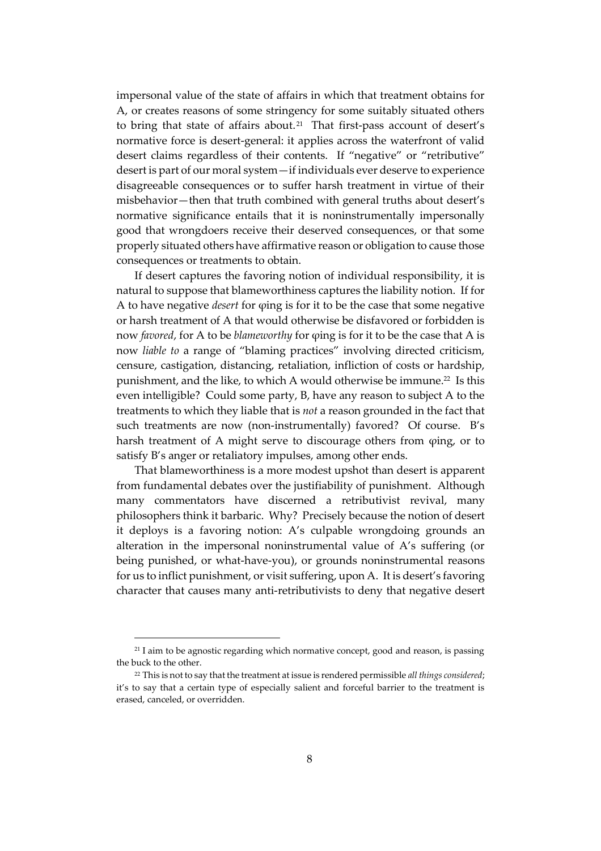impersonal value of the state of affairs in which that treatment obtains for A, or creates reasons of some stringency for some suitably situated others to bring that state of affairs about.<sup>21</sup> That first-pass account of desert's normative force is desert-general: it applies across the waterfront of valid desert claims regardless of their contents. If "negative" or "retributive" desert is part of our moral system—if individuals ever deserve to experience disagreeable consequences or to suffer harsh treatment in virtue of their misbehavior—then that truth combined with general truths about desert's normative significance entails that it is noninstrumentally impersonally good that wrongdoers receive their deserved consequences, or that some properly situated others have affirmative reason or obligation to cause those consequences or treatments to obtain.

If desert captures the favoring notion of individual responsibility, it is natural to suppose that blameworthiness captures the liability notion. If for A to have negative *desert* for φing is for it to be the case that some negative or harsh treatment of A that would otherwise be disfavored or forbidden is now *favored*, for A to be *blameworthy* for φing is for it to be the case that A is now *liable to* a range of "blaming practices" involving directed criticism, censure, castigation, distancing, retaliation, infliction of costs or hardship, punishment, and the like, to which A would otherwise be immune.<sup>22</sup> Is this even intelligible? Could some party, B, have any reason to subject A to the treatments to which they liable that is *not* a reason grounded in the fact that such treatments are now (non-instrumentally) favored? Of course. B's harsh treatment of A might serve to discourage others from φing, or to satisfy B's anger or retaliatory impulses, among other ends.

That blameworthiness is a more modest upshot than desert is apparent from fundamental debates over the justifiability of punishment. Although many commentators have discerned a retributivist revival, many philosophers think it barbaric. Why? Precisely because the notion of desert it deploys is a favoring notion: A's culpable wrongdoing grounds an alteration in the impersonal noninstrumental value of A's suffering (or being punished, or what-have-you), or grounds noninstrumental reasons for us to inflict punishment, or visit suffering, upon A. It is desert's favoring character that causes many anti-retributivists to deny that negative desert

<sup>&</sup>lt;sup>21</sup> I aim to be agnostic regarding which normative concept, good and reason, is passing the buck to the other.

<sup>22</sup> This is not to say that the treatment at issue is rendered permissible *all things considered*; it's to say that a certain type of especially salient and forceful barrier to the treatment is erased, canceled, or overridden.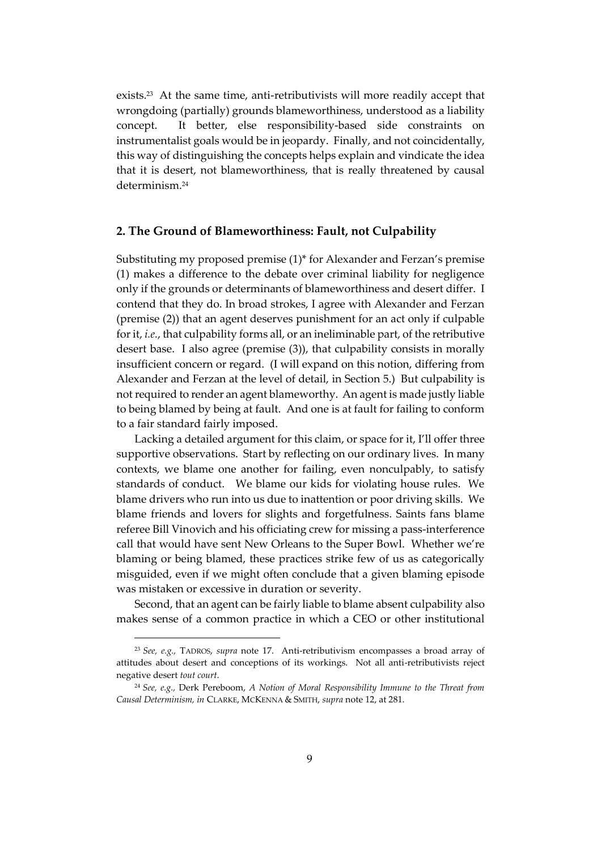exists. 23 At the same time, anti-retributivists will more readily accept that wrongdoing (partially) grounds blameworthiness, understood as a liability concept. It better, else responsibility-based side constraints on instrumentalist goals would be in jeopardy. Finally, and not coincidentally, this way of distinguishing the concepts helps explain and vindicate the idea that it is desert, not blameworthiness, that is really threatened by causal determinism.<sup>24</sup>

#### **2. The Ground of Blameworthiness: Fault, not Culpability**

Substituting my proposed premise (1)\* for Alexander and Ferzan's premise (1) makes a difference to the debate over criminal liability for negligence only if the grounds or determinants of blameworthiness and desert differ. I contend that they do. In broad strokes, I agree with Alexander and Ferzan (premise (2)) that an agent deserves punishment for an act only if culpable for it, *i.e.*, that culpability forms all, or an ineliminable part, of the retributive desert base. I also agree (premise (3)), that culpability consists in morally insufficient concern or regard. (I will expand on this notion, differing from Alexander and Ferzan at the level of detail, in Section 5.) But culpability is not required to render an agent blameworthy. An agent is made justly liable to being blamed by being at fault. And one is at fault for failing to conform to a fair standard fairly imposed.

Lacking a detailed argument for this claim, or space for it, I'll offer three supportive observations. Start by reflecting on our ordinary lives. In many contexts, we blame one another for failing, even nonculpably, to satisfy standards of conduct. We blame our kids for violating house rules. We blame drivers who run into us due to inattention or poor driving skills. We blame friends and lovers for slights and forgetfulness. Saints fans blame referee Bill Vinovich and his officiating crew for missing a pass-interference call that would have sent New Orleans to the Super Bowl. Whether we're blaming or being blamed, these practices strike few of us as categorically misguided, even if we might often conclude that a given blaming episode was mistaken or excessive in duration or severity.

Second, that an agent can be fairly liable to blame absent culpability also makes sense of a common practice in which a CEO or other institutional

<sup>23</sup> *See, e.g.,* TADROS, *supra* note 17. Anti-retributivism encompasses a broad array of attitudes about desert and conceptions of its workings. Not all anti-retributivists reject negative desert *tout court*.

<sup>24</sup> *See, e.g.,* Derk Pereboom, *A Notion of Moral Responsibility Immune to the Threat from Causal Determinism, in* CLARKE, MCKENNA & SMITH, *supra* note 12, at 281.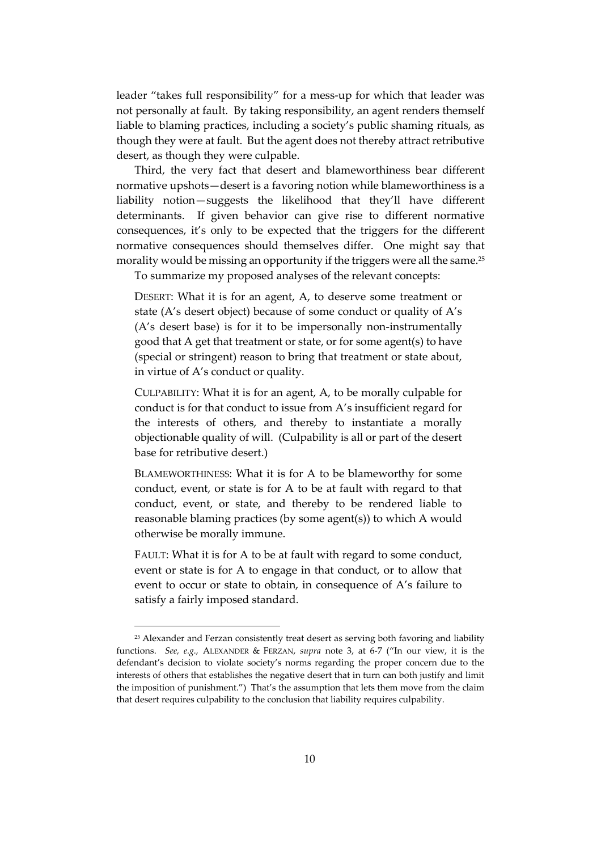leader "takes full responsibility" for a mess-up for which that leader was not personally at fault. By taking responsibility, an agent renders themself liable to blaming practices, including a society's public shaming rituals, as though they were at fault. But the agent does not thereby attract retributive desert, as though they were culpable.

Third, the very fact that desert and blameworthiness bear different normative upshots—desert is a favoring notion while blameworthiness is a liability notion—suggests the likelihood that they'll have different determinants. If given behavior can give rise to different normative consequences, it's only to be expected that the triggers for the different normative consequences should themselves differ. One might say that morality would be missing an opportunity if the triggers were all the same.<sup>25</sup>

To summarize my proposed analyses of the relevant concepts:

DESERT: What it is for an agent, A, to deserve some treatment or state (A's desert object) because of some conduct or quality of A's (A's desert base) is for it to be impersonally non-instrumentally good that A get that treatment or state, or for some agent(s) to have (special or stringent) reason to bring that treatment or state about, in virtue of A's conduct or quality.

CULPABILITY: What it is for an agent, A, to be morally culpable for conduct is for that conduct to issue from A's insufficient regard for the interests of others, and thereby to instantiate a morally objectionable quality of will. (Culpability is all or part of the desert base for retributive desert.)

BLAMEWORTHINESS: What it is for A to be blameworthy for some conduct, event, or state is for A to be at fault with regard to that conduct, event, or state, and thereby to be rendered liable to reasonable blaming practices (by some agent(s)) to which A would otherwise be morally immune.

FAULT: What it is for A to be at fault with regard to some conduct, event or state is for A to engage in that conduct, or to allow that event to occur or state to obtain, in consequence of A's failure to satisfy a fairly imposed standard.

 $25$  Alexander and Ferzan consistently treat desert as serving both favoring and liability functions. *See, e.g.,* ALEXANDER & FERZAN, *supra* note 3, at 6-7 ("In our view, it is the defendant's decision to violate society's norms regarding the proper concern due to the interests of others that establishes the negative desert that in turn can both justify and limit the imposition of punishment.") That's the assumption that lets them move from the claim that desert requires culpability to the conclusion that liability requires culpability.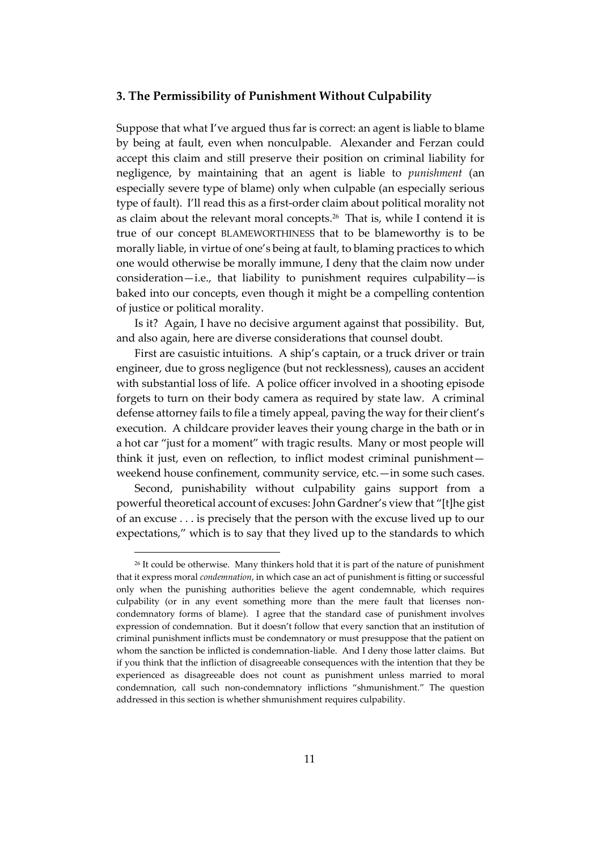#### **3. The Permissibility of Punishment Without Culpability**

Suppose that what I've argued thus far is correct: an agent is liable to blame by being at fault, even when nonculpable. Alexander and Ferzan could accept this claim and still preserve their position on criminal liability for negligence, by maintaining that an agent is liable to *punishment* (an especially severe type of blame) only when culpable (an especially serious type of fault). I'll read this as a first-order claim about political morality not as claim about the relevant moral concepts.<sup>26</sup> That is, while I contend it is true of our concept BLAMEWORTHINESS that to be blameworthy is to be morally liable, in virtue of one's being at fault, to blaming practices to which one would otherwise be morally immune, I deny that the claim now under consideration—i.e., that liability to punishment requires culpability—is baked into our concepts, even though it might be a compelling contention of justice or political morality.

Is it? Again, I have no decisive argument against that possibility. But, and also again, here are diverse considerations that counsel doubt.

First are casuistic intuitions. A ship's captain, or a truck driver or train engineer, due to gross negligence (but not recklessness), causes an accident with substantial loss of life. A police officer involved in a shooting episode forgets to turn on their body camera as required by state law. A criminal defense attorney fails to file a timely appeal, paving the way for their client's execution. A childcare provider leaves their young charge in the bath or in a hot car "just for a moment" with tragic results. Many or most people will think it just, even on reflection, to inflict modest criminal punishment weekend house confinement, community service, etc.—in some such cases.

Second, punishability without culpability gains support from a powerful theoretical account of excuses: John Gardner's view that "[t]he gist of an excuse . . . is precisely that the person with the excuse lived up to our expectations," which is to say that they lived up to the standards to which

<sup>&</sup>lt;sup>26</sup> It could be otherwise. Many thinkers hold that it is part of the nature of punishment that it express moral *condemnation*, in which case an act of punishment is fitting or successful only when the punishing authorities believe the agent condemnable, which requires culpability (or in any event something more than the mere fault that licenses noncondemnatory forms of blame). I agree that the standard case of punishment involves expression of condemnation. But it doesn't follow that every sanction that an institution of criminal punishment inflicts must be condemnatory or must presuppose that the patient on whom the sanction be inflicted is condemnation-liable. And I deny those latter claims. But if you think that the infliction of disagreeable consequences with the intention that they be experienced as disagreeable does not count as punishment unless married to moral condemnation, call such non-condemnatory inflictions "shmunishment." The question addressed in this section is whether shmunishment requires culpability.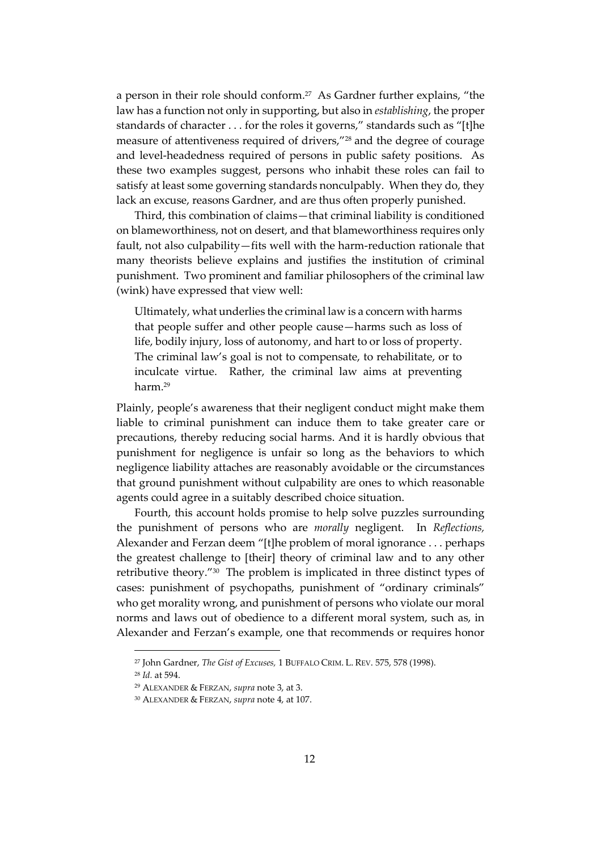a person in their role should conform.<sup>27</sup> As Gardner further explains, "the law has a function not only in supporting, but also in *establishing*, the proper standards of character . . . for the roles it governs," standards such as "[t]he measure of attentiveness required of drivers,"<sup>28</sup> and the degree of courage and level-headedness required of persons in public safety positions. As these two examples suggest, persons who inhabit these roles can fail to satisfy at least some governing standards nonculpably. When they do, they lack an excuse, reasons Gardner, and are thus often properly punished.

Third, this combination of claims—that criminal liability is conditioned on blameworthiness, not on desert, and that blameworthiness requires only fault, not also culpability—fits well with the harm-reduction rationale that many theorists believe explains and justifies the institution of criminal punishment. Two prominent and familiar philosophers of the criminal law (wink) have expressed that view well:

Ultimately, what underlies the criminal law is a concern with harms that people suffer and other people cause—harms such as loss of life, bodily injury, loss of autonomy, and hart to or loss of property. The criminal law's goal is not to compensate, to rehabilitate, or to inculcate virtue. Rather, the criminal law aims at preventing harm<sup>29</sup>

Plainly, people's awareness that their negligent conduct might make them liable to criminal punishment can induce them to take greater care or precautions, thereby reducing social harms. And it is hardly obvious that punishment for negligence is unfair so long as the behaviors to which negligence liability attaches are reasonably avoidable or the circumstances that ground punishment without culpability are ones to which reasonable agents could agree in a suitably described choice situation.

Fourth, this account holds promise to help solve puzzles surrounding the punishment of persons who are *morally* negligent. In *Reflections,* Alexander and Ferzan deem "[t]he problem of moral ignorance . . . perhaps the greatest challenge to [their] theory of criminal law and to any other retributive theory."<sup>30</sup> The problem is implicated in three distinct types of cases: punishment of psychopaths, punishment of "ordinary criminals" who get morality wrong, and punishment of persons who violate our moral norms and laws out of obedience to a different moral system, such as, in Alexander and Ferzan's example, one that recommends or requires honor

<sup>27</sup> John Gardner, *The Gist of Excuses,* 1 BUFFALO CRIM. L. REV. 575, 578 (1998).

<sup>28</sup> *Id.* at 594.

<sup>29</sup> ALEXANDER & FERZAN, *supra* note 3, at 3.

<sup>30</sup> ALEXANDER & FERZAN, *supra* note 4, at 107.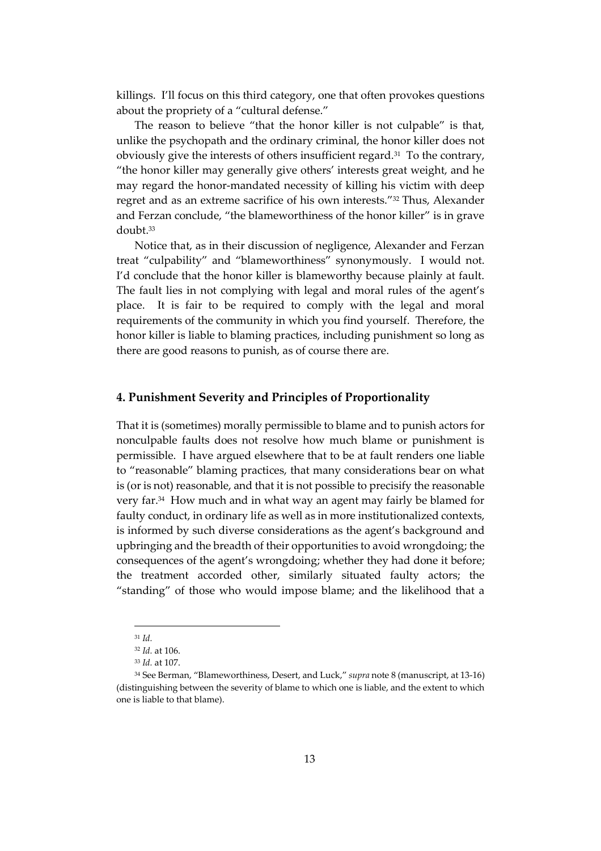killings. I'll focus on this third category, one that often provokes questions about the propriety of a "cultural defense."

The reason to believe "that the honor killer is not culpable" is that, unlike the psychopath and the ordinary criminal, the honor killer does not obviously give the interests of others insufficient regard.<sup>31</sup> To the contrary, "the honor killer may generally give others' interests great weight, and he may regard the honor-mandated necessity of killing his victim with deep regret and as an extreme sacrifice of his own interests."<sup>32</sup> Thus, Alexander and Ferzan conclude, "the blameworthiness of the honor killer" is in grave doubt.<sup>33</sup>

Notice that, as in their discussion of negligence, Alexander and Ferzan treat "culpability" and "blameworthiness" synonymously. I would not. I'd conclude that the honor killer is blameworthy because plainly at fault. The fault lies in not complying with legal and moral rules of the agent's place. It is fair to be required to comply with the legal and moral requirements of the community in which you find yourself. Therefore, the honor killer is liable to blaming practices, including punishment so long as there are good reasons to punish, as of course there are.

#### **4. Punishment Severity and Principles of Proportionality**

That it is (sometimes) morally permissible to blame and to punish actors for nonculpable faults does not resolve how much blame or punishment is permissible. I have argued elsewhere that to be at fault renders one liable to "reasonable" blaming practices, that many considerations bear on what is (or is not) reasonable, and that it is not possible to precisify the reasonable very far.<sup>34</sup> How much and in what way an agent may fairly be blamed for faulty conduct, in ordinary life as well as in more institutionalized contexts, is informed by such diverse considerations as the agent's background and upbringing and the breadth of their opportunities to avoid wrongdoing; the consequences of the agent's wrongdoing; whether they had done it before; the treatment accorded other, similarly situated faulty actors; the "standing" of those who would impose blame; and the likelihood that a

<sup>31</sup> *Id.*

<sup>32</sup> *Id.* at 106.

<sup>33</sup> *Id.* at 107.

<sup>34</sup> See Berman, "Blameworthiness, Desert, and Luck," *supra* note 8 (manuscript, at 13-16) (distinguishing between the severity of blame to which one is liable, and the extent to which one is liable to that blame).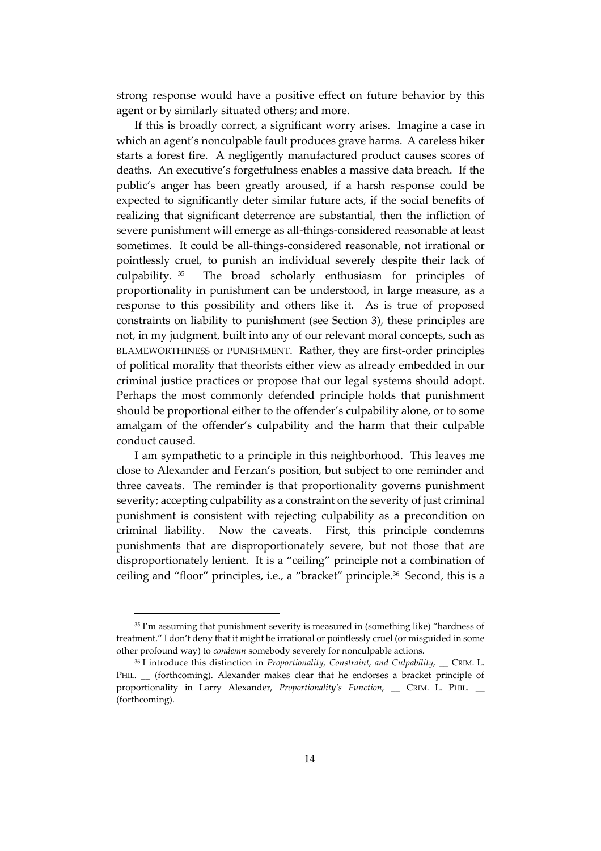strong response would have a positive effect on future behavior by this agent or by similarly situated others; and more.

If this is broadly correct, a significant worry arises. Imagine a case in which an agent's nonculpable fault produces grave harms. A careless hiker starts a forest fire. A negligently manufactured product causes scores of deaths. An executive's forgetfulness enables a massive data breach. If the public's anger has been greatly aroused, if a harsh response could be expected to significantly deter similar future acts, if the social benefits of realizing that significant deterrence are substantial, then the infliction of severe punishment will emerge as all-things-considered reasonable at least sometimes. It could be all-things-considered reasonable, not irrational or pointlessly cruel, to punish an individual severely despite their lack of culpability. <sup>35</sup> The broad scholarly enthusiasm for principles of proportionality in punishment can be understood, in large measure, as a response to this possibility and others like it. As is true of proposed constraints on liability to punishment (see Section 3), these principles are not, in my judgment, built into any of our relevant moral concepts, such as BLAMEWORTHINESS or PUNISHMENT. Rather, they are first-order principles of political morality that theorists either view as already embedded in our criminal justice practices or propose that our legal systems should adopt. Perhaps the most commonly defended principle holds that punishment should be proportional either to the offender's culpability alone, or to some amalgam of the offender's culpability and the harm that their culpable conduct caused.

I am sympathetic to a principle in this neighborhood. This leaves me close to Alexander and Ferzan's position, but subject to one reminder and three caveats. The reminder is that proportionality governs punishment severity; accepting culpability as a constraint on the severity of just criminal punishment is consistent with rejecting culpability as a precondition on criminal liability. Now the caveats. First, this principle condemns punishments that are disproportionately severe, but not those that are disproportionately lenient. It is a "ceiling" principle not a combination of ceiling and "floor" principles, i.e., a "bracket" principle.<sup>36</sup> Second, this is a

<sup>&</sup>lt;sup>35</sup> I'm assuming that punishment severity is measured in (something like) "hardness of treatment." I don't deny that it might be irrational or pointlessly cruel (or misguided in some other profound way) to *condemn* somebody severely for nonculpable actions.

<sup>&</sup>lt;sup>36</sup> I introduce this distinction in *Proportionality, Constraint, and Culpability,* \_\_ CRIM. L. PHIL. \_ (forthcoming). Alexander makes clear that he endorses a bracket principle of proportionality in Larry Alexander, *Proportionality's Function,* \_\_ CRIM. L. PHIL. \_\_ (forthcoming).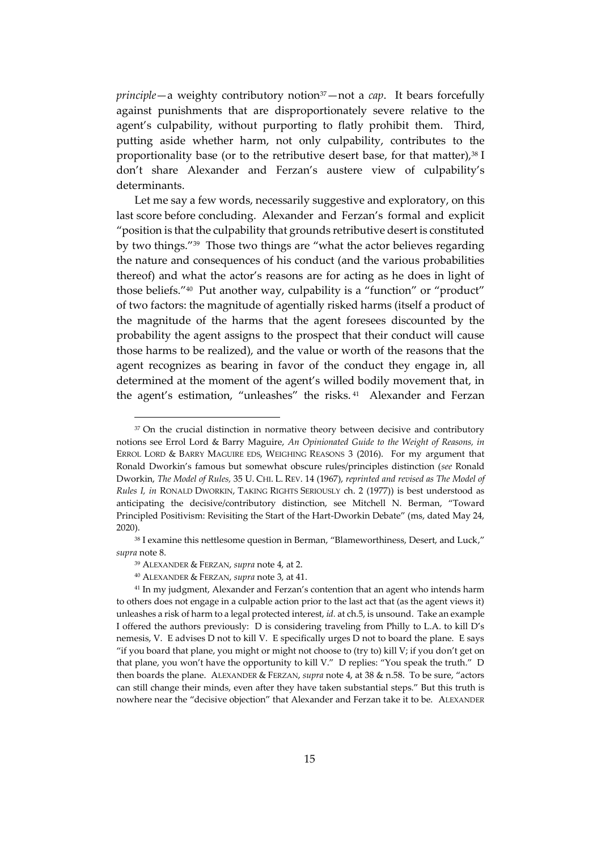*principle*—a weighty contributory notion<sup>37</sup>—not a *cap*. It bears forcefully against punishments that are disproportionately severe relative to the agent's culpability, without purporting to flatly prohibit them. Third, putting aside whether harm, not only culpability, contributes to the proportionality base (or to the retributive desert base, for that matter), $38$  I don't share Alexander and Ferzan's austere view of culpability's determinants.

Let me say a few words, necessarily suggestive and exploratory, on this last score before concluding. Alexander and Ferzan's formal and explicit "position is that the culpability that grounds retributive desert is constituted by two things."<sup>39</sup> Those two things are "what the actor believes regarding the nature and consequences of his conduct (and the various probabilities thereof) and what the actor's reasons are for acting as he does in light of those beliefs."<sup>40</sup> Put another way, culpability is a "function" or "product" of two factors: the magnitude of agentially risked harms (itself a product of the magnitude of the harms that the agent foresees discounted by the probability the agent assigns to the prospect that their conduct will cause those harms to be realized), and the value or worth of the reasons that the agent recognizes as bearing in favor of the conduct they engage in, all determined at the moment of the agent's willed bodily movement that, in the agent's estimation, "unleashes" the risks. <sup>41</sup> Alexander and Ferzan

 $37$  On the crucial distinction in normative theory between decisive and contributory notions see Errol Lord & Barry Maguire, *An Opinionated Guide to the Weight of Reasons, in* ERROL LORD & BARRY MAGUIRE EDS, WEIGHING REASONS 3 (2016). For my argument that Ronald Dworkin's famous but somewhat obscure rules/principles distinction (*see* Ronald Dworkin, *The Model of Rules,* 35 U. CHI. L. REV. 14 (1967), *reprinted and revised as The Model of Rules I, in* RONALD DWORKIN, TAKING RIGHTS SERIOUSLY ch. 2 (1977)) is best understood as anticipating the decisive/contributory distinction, see Mitchell N. Berman, "Toward Principled Positivism: Revisiting the Start of the Hart-Dworkin Debate" (ms, dated May 24, 2020).

<sup>&</sup>lt;sup>38</sup> I examine this nettlesome question in Berman, "Blameworthiness, Desert, and Luck," *supra* note 8.

<sup>39</sup> ALEXANDER & FERZAN, *supra* note 4, at 2.

<sup>40</sup> ALEXANDER & FERZAN, *supra* note 3, at 41.

<sup>&</sup>lt;sup>41</sup> In my judgment, Alexander and Ferzan's contention that an agent who intends harm to others does not engage in a culpable action prior to the last act that (as the agent views it) unleashes a risk of harm to a legal protected interest, *id.* at ch.5, is unsound. Take an example I offered the authors previously: D is considering traveling from Philly to L.A. to kill D's nemesis, V. E advises D not to kill V. E specifically urges D not to board the plane. E says "if you board that plane, you might or might not choose to (try to) kill V; if you don't get on that plane, you won't have the opportunity to kill V." D replies: "You speak the truth." D then boards the plane. ALEXANDER & FERZAN, *supra* note 4, at 38 & n.58. To be sure, "actors can still change their minds, even after they have taken substantial steps." But this truth is nowhere near the "decisive objection" that Alexander and Ferzan take it to be. ALEXANDER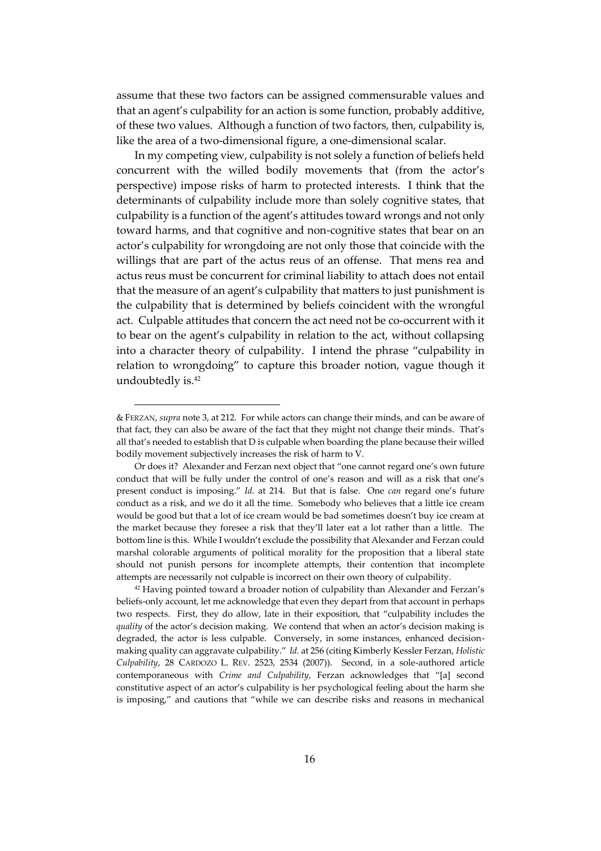assume that these two factors can be assigned commensurable values and that an agent's culpability for an action is some function, probably additive, of these two values. Although a function of two factors, then, culpability is, like the area of a two-dimensional figure, a one-dimensional scalar.

In my competing view, culpability is not solely a function of beliefs held concurrent with the willed bodily movements that (from the actor's perspective) impose risks of harm to protected interests. I think that the determinants of culpability include more than solely cognitive states, that culpability is a function of the agent's attitudes toward wrongs and not only toward harms, and that cognitive and non-cognitive states that bear on an actor's culpability for wrongdoing are not only those that coincide with the willings that are part of the actus reus of an offense. That mens rea and actus reus must be concurrent for criminal liability to attach does not entail that the measure of an agent's culpability that matters to just punishment is the culpability that is determined by beliefs coincident with the wrongful act. Culpable attitudes that concern the act need not be co-occurrent with it to bear on the agent's culpability in relation to the act, without collapsing into a character theory of culpability. I intend the phrase "culpability in relation to wrongdoing" to capture this broader notion, vague though it undoubtedly is.<sup>42</sup>

<sup>42</sup> Having pointed toward a broader notion of culpability than Alexander and Ferzan's beliefs-only account, let me acknowledge that even they depart from that account in perhaps two respects. First, they do allow, late in their exposition, that "culpability includes the *quality* of the actor's decision making. We contend that when an actor's decision making is degraded, the actor is less culpable. Conversely, in some instances, enhanced decisionmaking quality can aggravate culpability." *Id.* at 256 (citing Kimberly Kessler Ferzan, *Holistic Culpability*, 28 CARDOZO L. REV. 2523, 2534 (2007)). Second, in a sole-authored article contemporaneous with *Crime and Culpability,* Ferzan acknowledges that "[a] second constitutive aspect of an actor's culpability is her psychological feeling about the harm she is imposing," and cautions that "while we can describe risks and reasons in mechanical

<sup>&</sup>amp; FERZAN, *supra* note 3, at 212. For while actors can change their minds, and can be aware of that fact, they can also be aware of the fact that they might not change their minds. That's all that's needed to establish that D is culpable when boarding the plane because their willed bodily movement subjectively increases the risk of harm to V.

Or does it? Alexander and Ferzan next object that "one cannot regard one's own future conduct that will be fully under the control of one's reason and will as a risk that one's present conduct is imposing." *Id.* at 214. But that is false. One *can* regard one's future conduct as a risk, and we do it all the time. Somebody who believes that a little ice cream would be good but that a lot of ice cream would be bad sometimes doesn't buy ice cream at the market because they foresee a risk that they'll later eat a lot rather than a little. The bottom line is this. While I wouldn't exclude the possibility that Alexander and Ferzan could marshal colorable arguments of political morality for the proposition that a liberal state should not punish persons for incomplete attempts, their contention that incomplete attempts are necessarily not culpable is incorrect on their own theory of culpability.